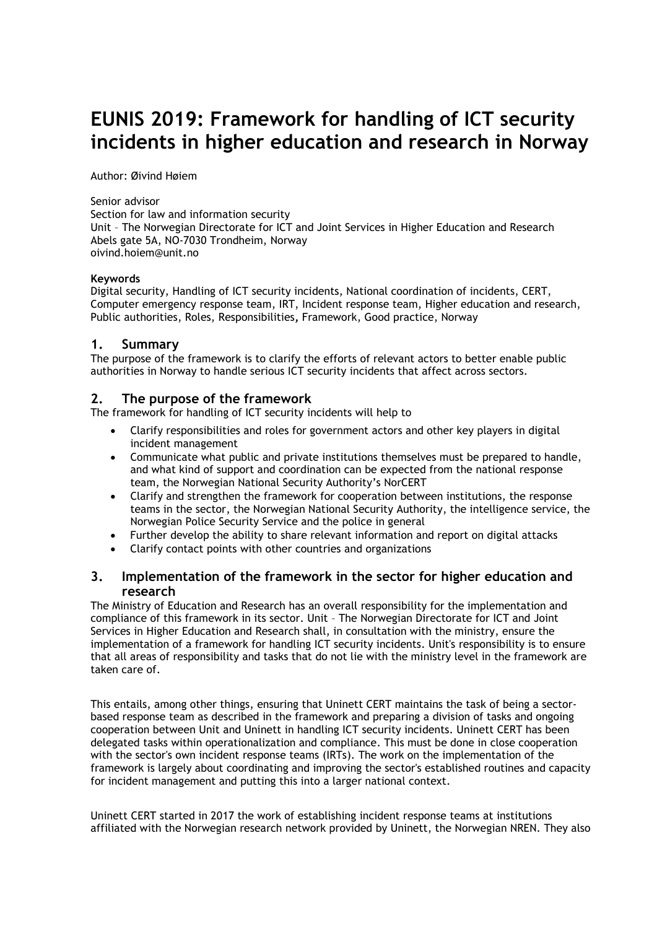# **EUNIS 2019: Framework for handling of ICT security incidents in higher education and research in Norway**

Author: Øivind Høiem

Senior advisor

Section for law and information security Unit – The Norwegian Directorate for ICT and Joint Services in Higher Education and Research Abels gate 5A, NO-7030 Trondheim, Norway oivind.hoiem@unit.no

#### **Keywords**

Digital security, Handling of ICT security incidents, National coordination of incidents, CERT, Computer emergency response team, IRT, Incident response team, Higher education and research, Public authorities, Roles, Responsibilities**,** Framework, Good practice, Norway

#### **1. Summary**

The purpose of the framework is to clarify the efforts of relevant actors to better enable public authorities in Norway to handle serious ICT security incidents that affect across sectors.

## **2. The purpose of the framework**

The framework for handling of ICT security incidents will help to

- Clarify responsibilities and roles for government actors and other key players in digital incident management
- Communicate what public and private institutions themselves must be prepared to handle, and what kind of support and coordination can be expected from the national response team, the Norwegian National Security Authority's NorCERT
- Clarify and strengthen the framework for cooperation between institutions, the response teams in the sector, the Norwegian National Security Authority, the intelligence service, the Norwegian Police Security Service and the police in general
- Further develop the ability to share relevant information and report on digital attacks
- Clarify contact points with other countries and organizations

#### **3. Implementation of the framework in the sector for higher education and research**

The Ministry of Education and Research has an overall responsibility for the implementation and compliance of this framework in its sector. Unit – The Norwegian Directorate for ICT and Joint Services in Higher Education and Research shall, in consultation with the ministry, ensure the implementation of a framework for handling ICT security incidents. Unit's responsibility is to ensure that all areas of responsibility and tasks that do not lie with the ministry level in the framework are taken care of.

This entails, among other things, ensuring that Uninett CERT maintains the task of being a sectorbased response team as described in the framework and preparing a division of tasks and ongoing cooperation between Unit and Uninett in handling ICT security incidents. Uninett CERT has been delegated tasks within operationalization and compliance. This must be done in close cooperation with the sector's own incident response teams (IRTs). The work on the implementation of the framework is largely about coordinating and improving the sector's established routines and capacity for incident management and putting this into a larger national context.

Uninett CERT started in 2017 the work of establishing incident response teams at institutions affiliated with the Norwegian research network provided by Uninett, the Norwegian NREN. They also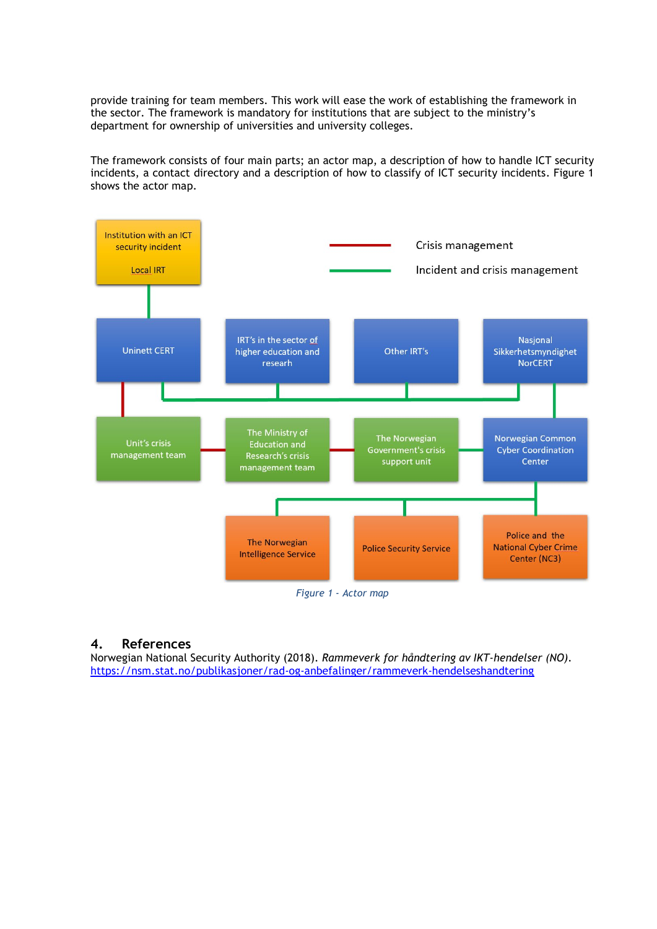provide training for team members. This work will ease the work of establishing the framework in the sector. The framework is mandatory for institutions that are subject to the ministry's department for ownership of universities and university colleges.

The framework consists of four main parts; an actor map, a description of how to handle ICT security incidents, a contact directory and a description of how to classify of ICT security incidents. Figure 1 shows the actor map.



# **4. References**

Norwegian National Security Authority (2018). *Rammeverk for håndtering av IKT-hendelser (NO).* <https://nsm.stat.no/publikasjoner/rad-og-anbefalinger/rammeverk-hendelseshandtering>